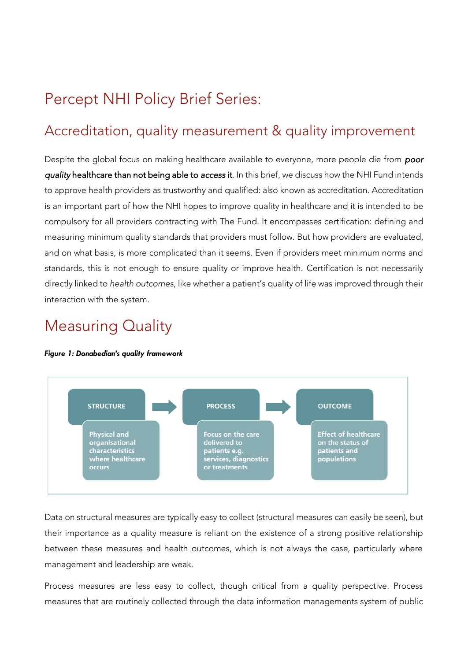# Percept NHI Policy Brief Series:

### Accreditation, quality measurement & quality improvement

Despite the global focus on making healthcare available to everyone, more people die from *poor quality* healthcare than not being able to *access* it. In this brief, we discuss how the NHI Fund intends to approve health providers as trustworthy and qualified: also known as accreditation. Accreditation is an important part of how the NHI hopes to improve quality in healthcare and it is intended to be compulsory for all providers contracting with The Fund. It encompasses certification: defining and measuring minimum quality standards that providers must follow. But how providers are evaluated, and on what basis, is more complicated than it seems. Even if providers meet minimum norms and standards, this is not enough to ensure quality or improve health. Certification is not necessarily directly linked to *health outcomes*, like whether a patient's quality of life was improved through their interaction with the system.

### Measuring Quality

#### *Figure 1: Donabedian's quality framework*



Data on structural measures are typically easy to collect (structural measures can easily be seen), but their importance as a quality measure is reliant on the existence of a strong positive relationship between these measures and health outcomes, which is not always the case, particularly where management and leadership are weak.

Process measures are less easy to collect, though critical from a quality perspective. Process measures that are routinely collected through the data information managements system of public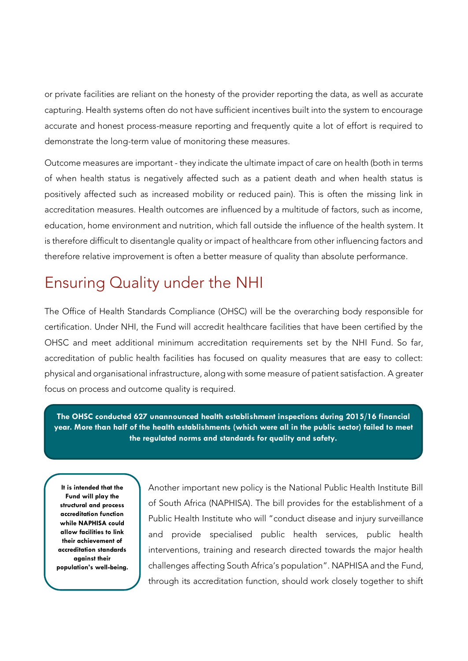or private facilities are reliant on the honesty of the provider reporting the data, as well as accurate capturing. Health systems often do not have sufficient incentives built into the system to encourage accurate and honest process-measure reporting and frequently quite a lot of effort is required to demonstrate the long-term value of monitoring these measures.

Outcome measures are important - they indicate the ultimate impact of care on health (both in terms of when health status is negatively affected such as a patient death and when health status is positively affected such as increased mobility or reduced pain). This is often the missing link in accreditation measures. Health outcomes are influenced by a multitude of factors, such as income, education, home environment and nutrition, which fall outside the influence of the health system. It is therefore difficult to disentangle quality or impact of healthcare from other influencing factors and therefore relative improvement is often a better measure of quality than absolute performance.

### Ensuring Quality under the NHI

The Office of Health Standards Compliance (OHSC) will be the overarching body responsible for certification. Under NHI, the Fund will accredit healthcare facilities that have been certified by the OHSC and meet additional minimum accreditation requirements set by the NHI Fund. So far, accreditation of public health facilities has focused on quality measures that are easy to collect: physical and organisational infrastructure, along with some measure of patient satisfaction. A greater focus on process and outcome quality is required.

**The OHSC conducted 627 unannounced health establishment inspections during 2015/16 financial year. More than half of the health establishments (which were all in the public sector) failed to meet the regulated norms and standards for quality and safety.**

**It is intended that the Fund will play the structural and process accreditation function while NAPHISA could allow facilities to link their achievement of accreditation standards against their population's well-being.** Another important new policy is the National Public Health Institute Bill of South Africa (NAPHISA). The bill provides for the establishment of a Public Health Institute who will "conduct disease and injury surveillance and provide specialised public health services, public health interventions, training and research directed towards the major health challenges affecting South Africa's population". NAPHISA and the Fund, through its accreditation function, should work closely together to shift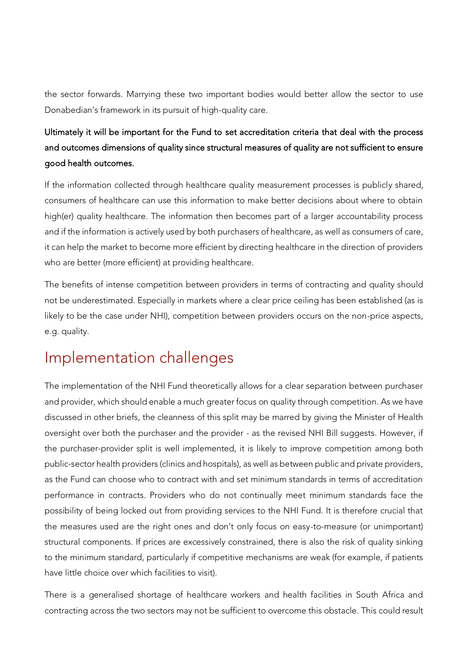the sector forwards. Marrying these two important bodies would better allow the sector to use Donabedian's framework in its pursuit of high-quality care.

### Ultimately it will be important for the Fund to set accreditation criteria that deal with the process and outcomes dimensions of quality since structural measures of quality are not sufficient to ensure good health outcomes.

If the information collected through healthcare quality measurement processes is publicly shared, consumers of healthcare can use this information to make better decisions about where to obtain high(er) quality healthcare. The information then becomes part of a larger accountability process and if the information is actively used by both purchasers of healthcare, as well as consumers of care, it can help the market to become more efficient by directing healthcare in the direction of providers who are better (more efficient) at providing healthcare.

The benefits of intense competition between providers in terms of contracting and quality should not be underestimated. Especially in markets where a clear price ceiling has been established (as is likely to be the case under NHI), competition between providers occurs on the non-price aspects, e.g. quality.

## Implementation challenges

The implementation of the NHI Fund theoretically allows for a clear separation between purchaser and provider, which should enable a much greater focus on quality through competition. As we have discussed in other briefs, the cleanness of this split may be marred by giving the Minister of Health oversight over both the purchaser and the provider - as the revised NHI Bill suggests. However, if the purchaser-provider split is well implemented, it is likely to improve competition among both public-sector health providers (clinics and hospitals), as well as between public and private providers, as the Fund can choose who to contract with and set minimum standards in terms of accreditation performance in contracts. Providers who do not continually meet minimum standards face the possibility of being locked out from providing services to the NHI Fund. It is therefore crucial that the measures used are the right ones and don't only focus on easy-to-measure (or unimportant) structural components. If prices are excessively constrained, there is also the risk of quality sinking to the minimum standard, particularly if competitive mechanisms are weak (for example, if patients have little choice over which facilities to visit).

There is a generalised shortage of healthcare workers and health facilities in South Africa and contracting across the two sectors may not be sufficient to overcome this obstacle. This could result